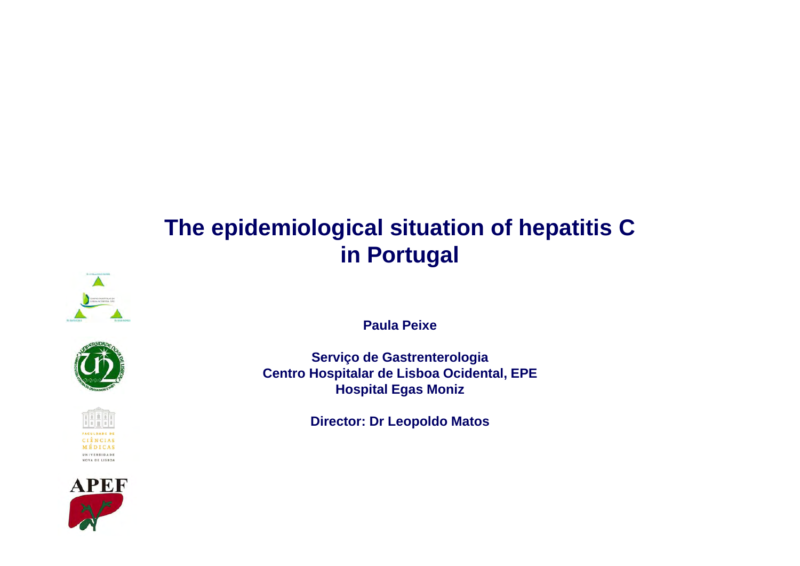# **The epidemiological situation of hepatitis C in Portugal**









**Paula Peixe**

**Serviço de Gastrenterologia Centro Hospitalar de Lisboa Ocidental, EPE Hospital Egas Moniz**

**Director: Dr Leopoldo Matos**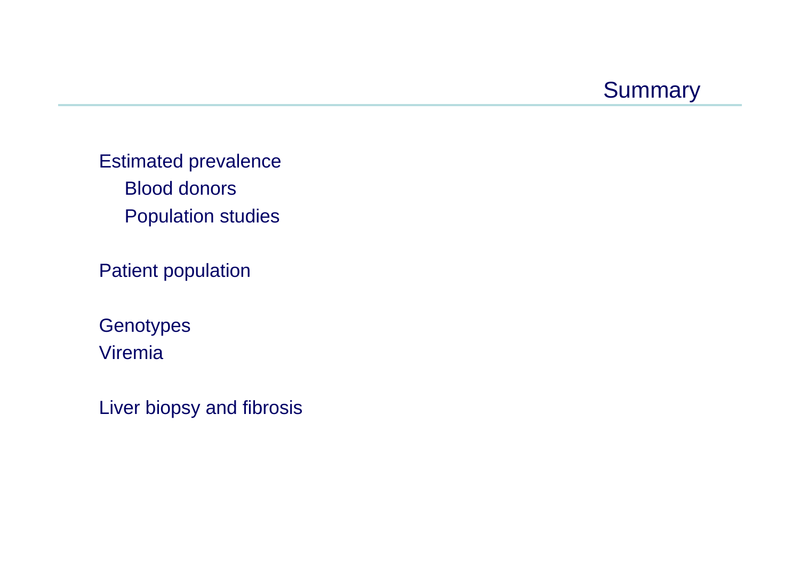

Estimated prevalence Blood donors Population studies

Patient population

**Genotypes** Viremia

Liver biopsy and fibrosis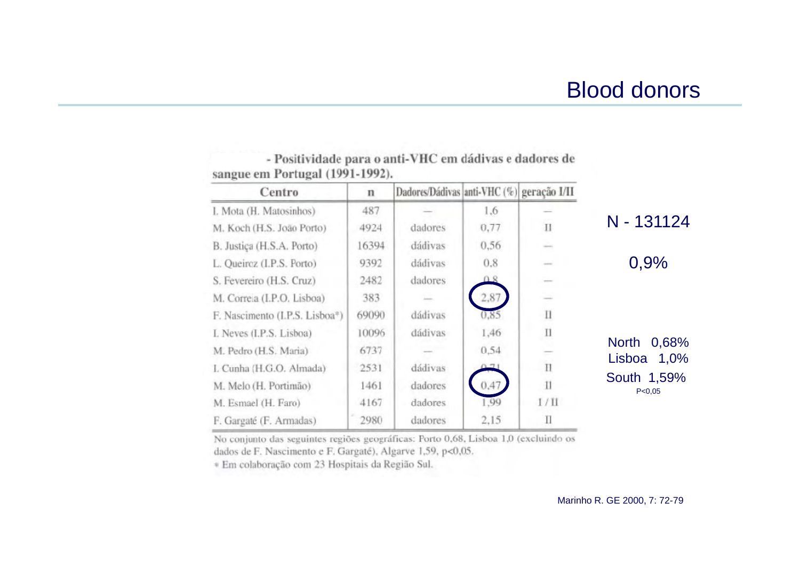## Blood donors

| Centro                                      | n     | Dadores/Dádivas anti-VHC (%) geração I/II |      |                                                                                                                                                                                                                                                                                                                                                                                                                                                                            |                                         |
|---------------------------------------------|-------|-------------------------------------------|------|----------------------------------------------------------------------------------------------------------------------------------------------------------------------------------------------------------------------------------------------------------------------------------------------------------------------------------------------------------------------------------------------------------------------------------------------------------------------------|-----------------------------------------|
| I. Mota (H. Matosinhos)                     | 487   |                                           | 1,6  |                                                                                                                                                                                                                                                                                                                                                                                                                                                                            |                                         |
| M. Koch (H.S. João Porto)                   | 4924  | dadores                                   | 0,77 | $_{\rm II}$                                                                                                                                                                                                                                                                                                                                                                                                                                                                | N - 131124                              |
| B. Justiça (H.S.A. Porto)                   | 16394 | dádivas                                   | 0,56 | $\frac{1}{2} \left( \frac{1}{2} \right) \left( \frac{1}{2} \right) \left( \frac{1}{2} \right)$                                                                                                                                                                                                                                                                                                                                                                             |                                         |
| L. Queiroz (I.P.S. Porto)                   | 9392  | dádivas                                   | 0.8  | $-0.00000$                                                                                                                                                                                                                                                                                                                                                                                                                                                                 | 0,9%                                    |
| S. Fevereiro (H.S. Cruz)                    | 2482  | dadores                                   |      |                                                                                                                                                                                                                                                                                                                                                                                                                                                                            |                                         |
| M. Correia (I.P.O. Lisboa)                  | 383   |                                           | 2,87 | $\frac{1}{2} \left( \frac{1}{2} \right) \left( \frac{1}{2} \right) \left( \frac{1}{2} \right) \left( \frac{1}{2} \right) \left( \frac{1}{2} \right) \left( \frac{1}{2} \right) \left( \frac{1}{2} \right) \left( \frac{1}{2} \right) \left( \frac{1}{2} \right) \left( \frac{1}{2} \right) \left( \frac{1}{2} \right) \left( \frac{1}{2} \right) \left( \frac{1}{2} \right) \left( \frac{1}{2} \right) \left( \frac{1}{2} \right) \left( \frac{1}{2} \right) \left( \frac$ |                                         |
| F. Nascimento (I.P.S. Lisboa <sup>®</sup> ) | 69090 | dádivas                                   | 0.85 | $\mathbf{I}$                                                                                                                                                                                                                                                                                                                                                                                                                                                               |                                         |
| L Neves (I.P.S. Lisboa)                     | 10096 | dádivas                                   | 1,46 | $\prod$                                                                                                                                                                                                                                                                                                                                                                                                                                                                    |                                         |
| M. Pedro (H.S. Maria)                       | 6737  |                                           | 0.54 |                                                                                                                                                                                                                                                                                                                                                                                                                                                                            | 0,68%<br><b>North</b><br>Lisboa<br>1,0% |
| L Cunha (H.G.O. Almada)                     | 2531  | dádivas                                   |      | $\mathbf{H}$                                                                                                                                                                                                                                                                                                                                                                                                                                                               |                                         |
| M. Melo (H. Portimão)                       | 1461  | dadores                                   | 0,47 | $\prod$                                                                                                                                                                                                                                                                                                                                                                                                                                                                    | South 1,59%<br>P < 0,05                 |
| M. Esmael (H. Faro)                         | 4167  | dadores                                   | 1.99 | 1/11                                                                                                                                                                                                                                                                                                                                                                                                                                                                       |                                         |
| F. Gargaté (F. Armadas)                     | 2980  | dadores                                   | 2,15 | Π                                                                                                                                                                                                                                                                                                                                                                                                                                                                          |                                         |

- Positividade para o anti-VHC em dádivas e dadores de sangue em Portugal (1991-1992).

No conjunto das seguintes regiões geográficas: Porto 0,68, Lisboa 1,0 (excluindo os dados de F. Nascimento e F. Gargaté), Algarve 1,59, p<0,05.

\* Em colaboração com 23 Hospitais da Região Sul.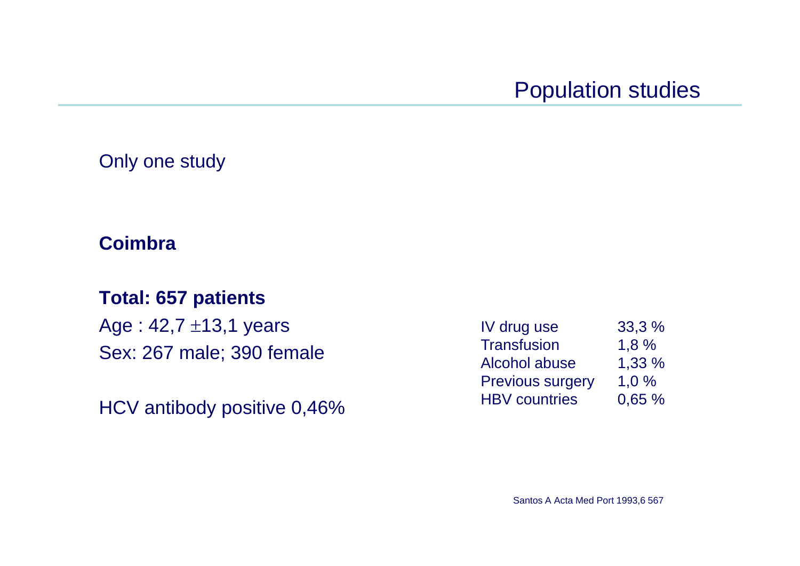## Population studies

#### Only one study

#### **Coimbra**

### **Total: 657 patients**

Age : 42,7 ±13,1 years Sex: 267 male; 390 female

HCV antibody positive 0,46%

| IV drug use             | 33,3 %   |
|-------------------------|----------|
| <b>Transfusion</b>      | 1,8%     |
| Alcohol abuse           | 1,33 %   |
| <b>Previous surgery</b> | $1.0 \%$ |
| <b>HBV</b> countries    | 0,65%    |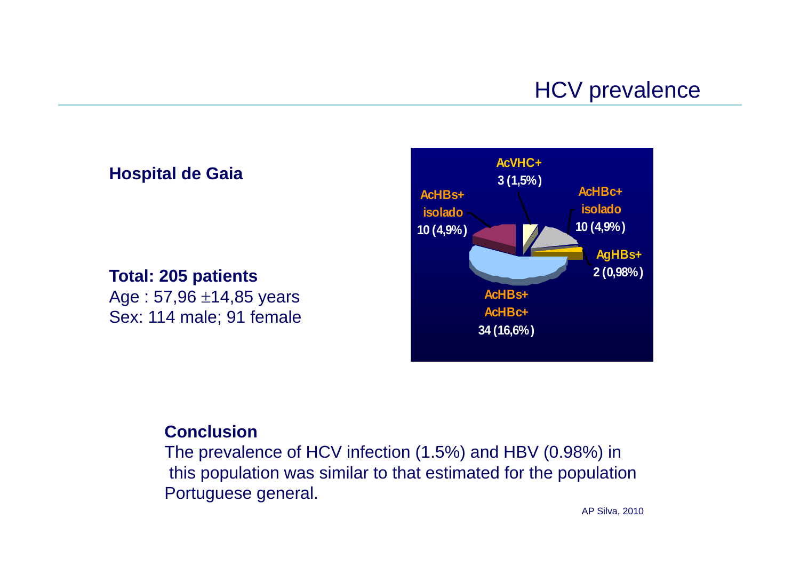#### **Hospital de Gaia**

#### **Total: 205 patients**

Age : 57,96 ±14,85 years Sex: 114 male; 91 female



#### **Conclusion**

The prevalence of HCV infection (1.5%) and HBV (0.98%) in this population was similar to that estimated for the population Portuguese general.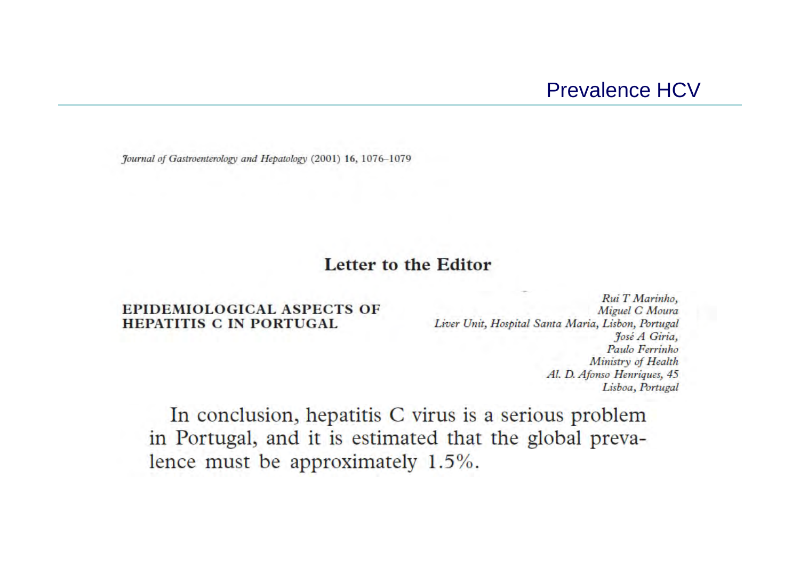Journal of Gastroenterology and Hepatology (2001) 16, 1076-1079

#### Letter to the Editor

#### **EPIDEMIOLOGICAL ASPECTS OF HEPATITIS C IN PORTUGAL**

Rui T Marinho, Miguel C Moura Liver Unit, Hospital Santa Maria, Lisbon, Portugal José A Giria, Paulo Ferrinho Ministry of Health Al. D. Afonso Henriques, 45 Lisboa, Portugal

In conclusion, hepatitis C virus is a serious problem in Portugal, and it is estimated that the global prevalence must be approximately 1.5%.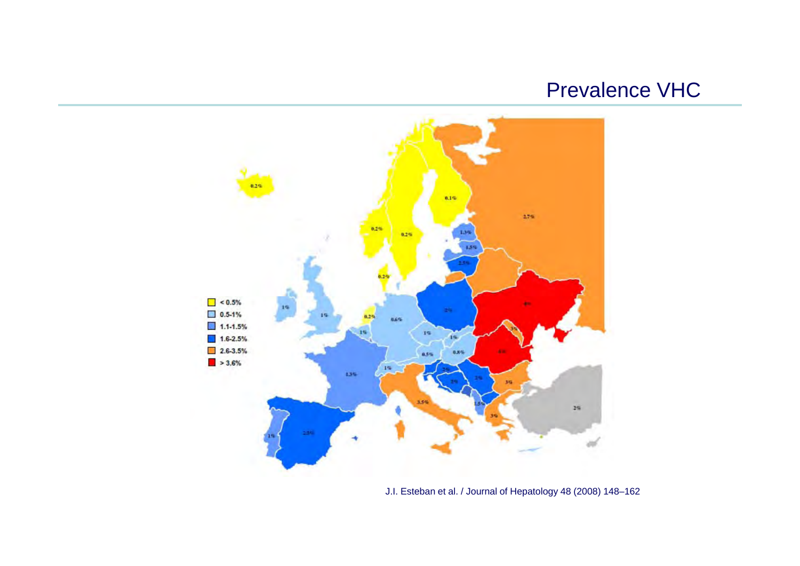### Prevalence VHC

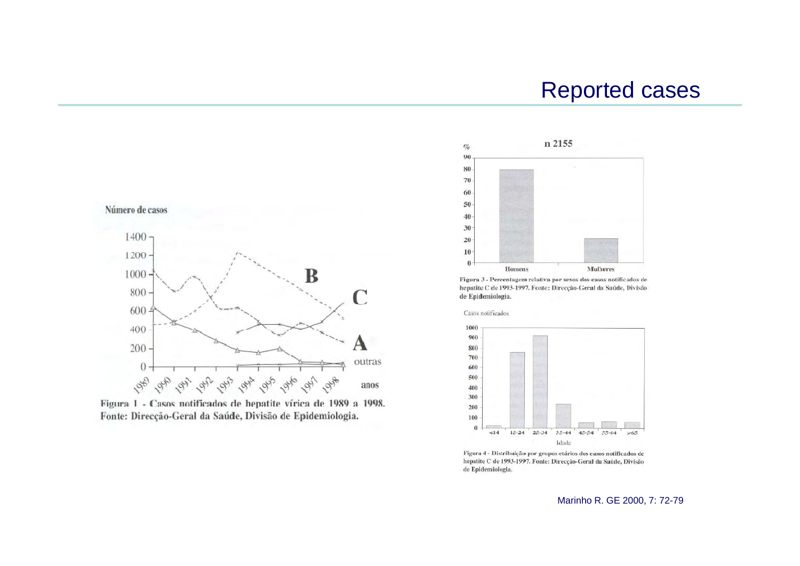### Reported cases







Figura 3 - Percentagem relativa por sexos dos casos notificados de hepatite C de 1993-1997. Fonte: Direcção-Geral da Saúde, Divisão de Epidemiologia.



Figura 4 - Distribuição por grupos etários dos casos notificados de hepatite C de 1993-1997. Fonte: Direcção-Geral da Saúde, Divisão de Epidemiologia.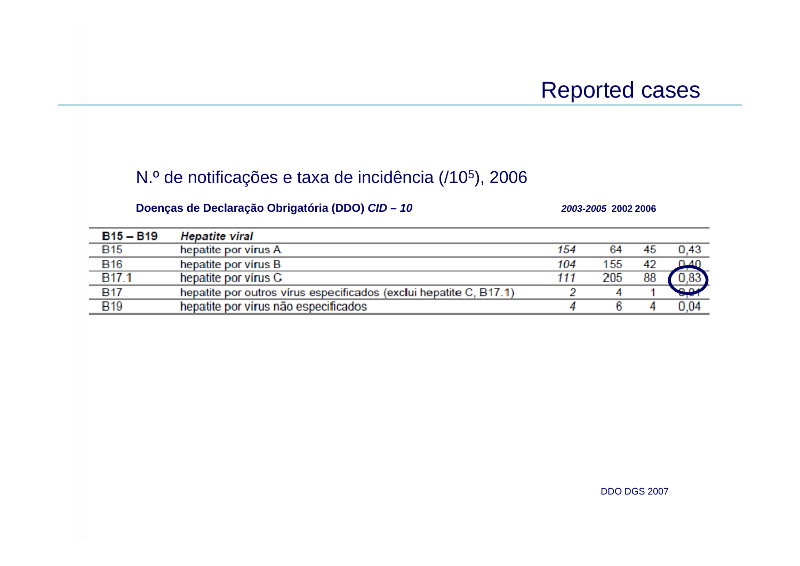#### N.º de notificações e taxa de incidência (/10 5), 2006

#### **Doenças de Declaração Obrigatória (DDO)** *CID – 10 2003-2005* **2002 2006**

| $B15 - B19$       | <b>Hepatite viral</b>                                              |     |     |    |                 |
|-------------------|--------------------------------------------------------------------|-----|-----|----|-----------------|
| <b>B15</b>        | hepatite por vírus A                                               | 154 | 64  | 45 | 0.43            |
| <b>B16</b>        | hepatite por vírus B                                               | 104 | 155 | 42 | በ4በ             |
| B <sub>17.1</sub> | hepatite por virus C                                               | 111 | 205 | 88 | 0.83            |
| <b>B17</b>        | hepatite por outros vírus especificados (exclui hepatite C, B17.1) |     |     |    | 90 <sup>o</sup> |
| <b>B19</b>        | hepatite por vírus não especificados                               |     |     |    | 0.04            |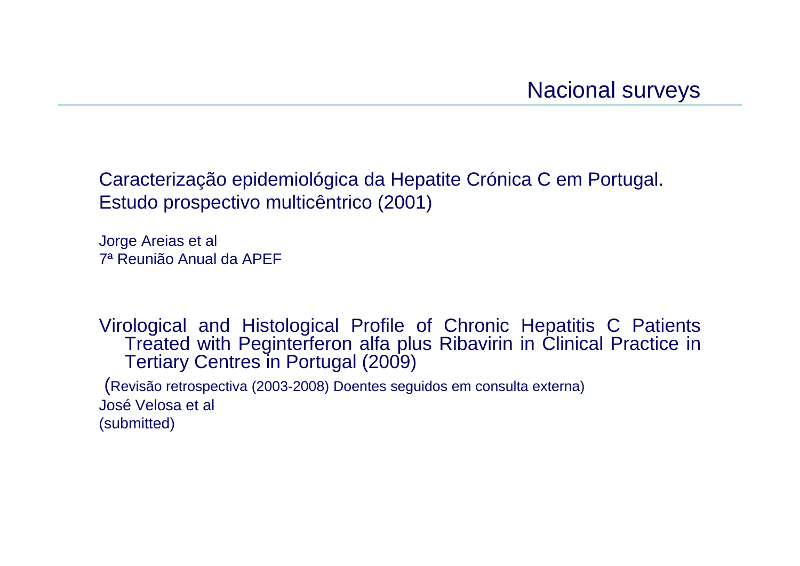Caracterização epidemiológica da Hepatite Crónica C em Portugal. Estudo prospectivo multicêntrico (2001)

Jorge Areias et al 7ª Reunião Anual da APEF

Virological and Histological Profile of Chronic Hepatitis C Patients Treated with Peginterferon alfa plus Ribavirin in Clinical Practice in Tertiary Centres in Portugal (2009)

(Revisão retrospectiva (2003-2008) Doentes seguidos em consulta externa) José Velosa et al (submitted)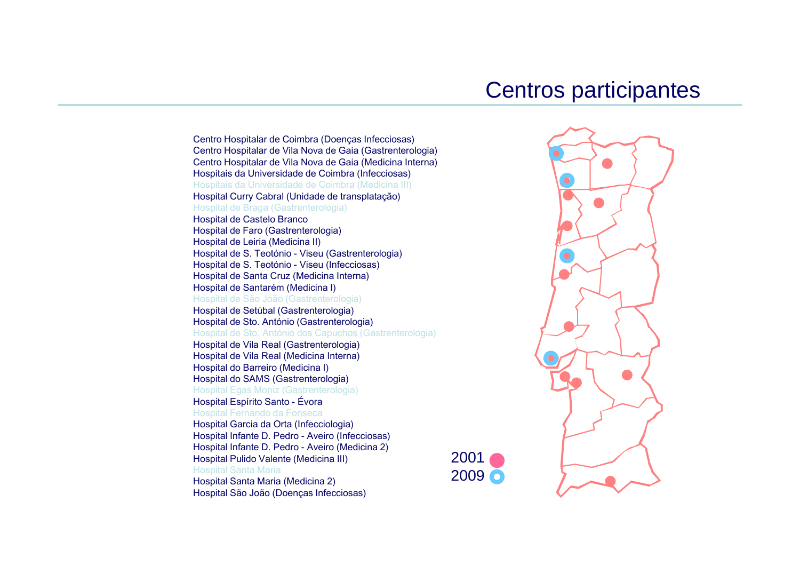# Centros participantes

Centro Hospitalar de Coimbra (Doenças Infecciosas) Centro Hospitalar de Vila Nova de Gaia (Gastrenterologia) Centro Hospitalar de Vila Nova de Gaia (Medicina Interna) Hospitais da Universidade de Coimbra (Infecciosas) Hospitais da Universidade de Coimbra (Medicina III) Hospital Curry Cabral (Unidade de transplatação) Hospital de Braga (Gastrenterologia) Hospital de Castelo Branco Hospital de Faro (Gastrenterologia) Hospital de Leiria (Medicina II) Hospital de S. Teotónio - Viseu (Gastrenterologia) Hospital de S. Teotónio - Viseu (Infecciosas) Hospital de Santa Cruz (Medicina Interna) Hospital de Santarém (Medicina I) Hospital de São João (Gastrenterologia) Hospital de Setúbal (Gastrenterologia) Hospital de Sto. António (Gastrenterologia) Hospital de Sto. António dos Capuchos (Gastrenterologia) Hospital de Vila Real (Gastrenterologia) Hospital de Vila Real (Medicina Interna) Hospital do Barreiro (Medicina I) Hospital do SAMS (Gastrenterologia) Hospital Egas Moniz (Gastrenterologia) Hospital Espírito Santo - Évora Hospital Fernando da Fonseca Hospital Garcia da Orta (Infecciologia) Hospital Infante D. Pedro - Aveiro (Infecciosas) Hospital Infante D. Pedro - Aveiro (Medicina 2) Hospital Pulido Valente (Medicina III) Hospital Santa Maria Hospital Santa Maria (Medicina 2) Hospital São João (Doenças Infecciosas)



2001

2009 0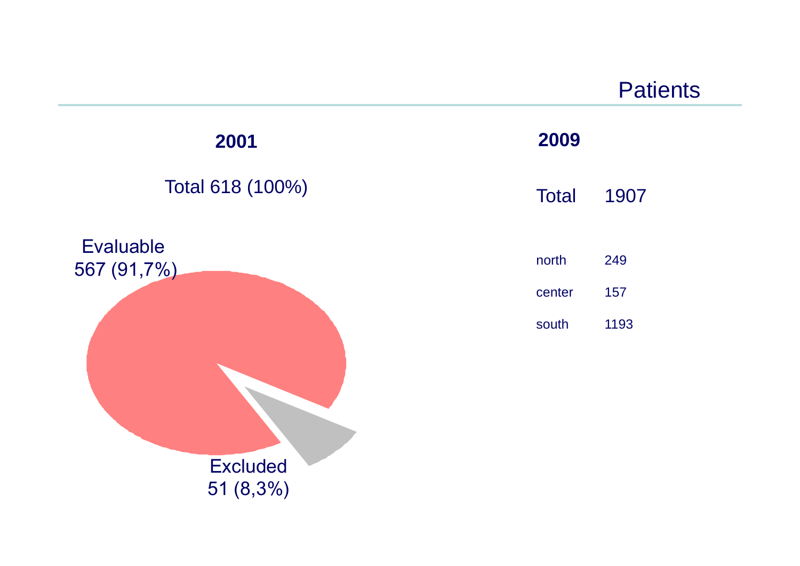

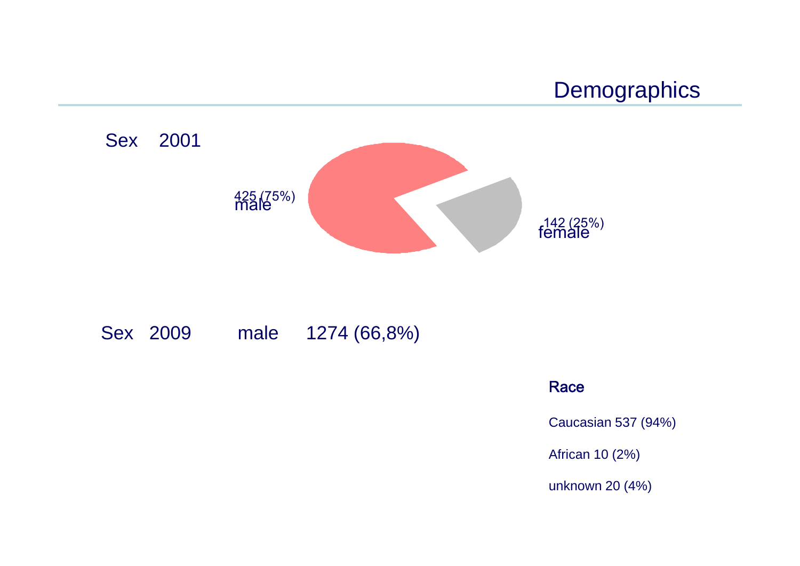



#### Sex 2009 male 1274 (66,8%)

#### Race

Caucasian 537 (94%)

African 10 (2%)

unknown 20 (4%)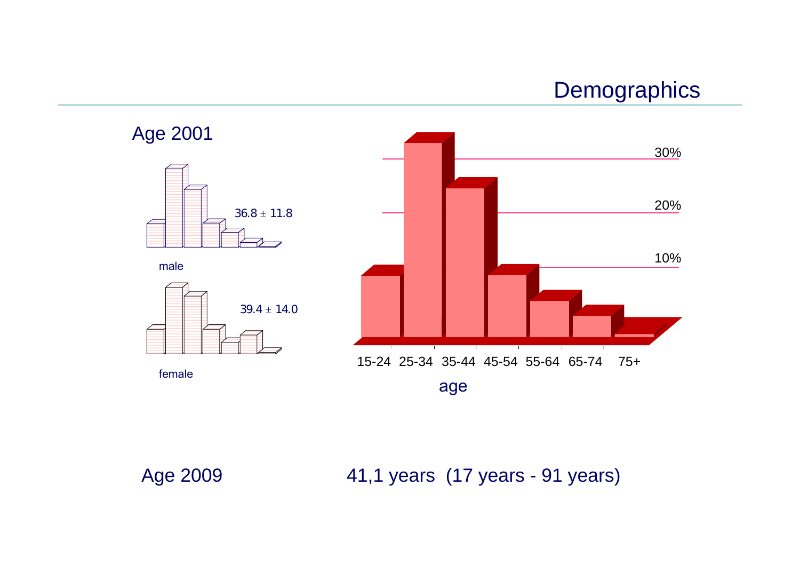# **Demographics**



Age 2009 41,1 years (17 years - 91 years)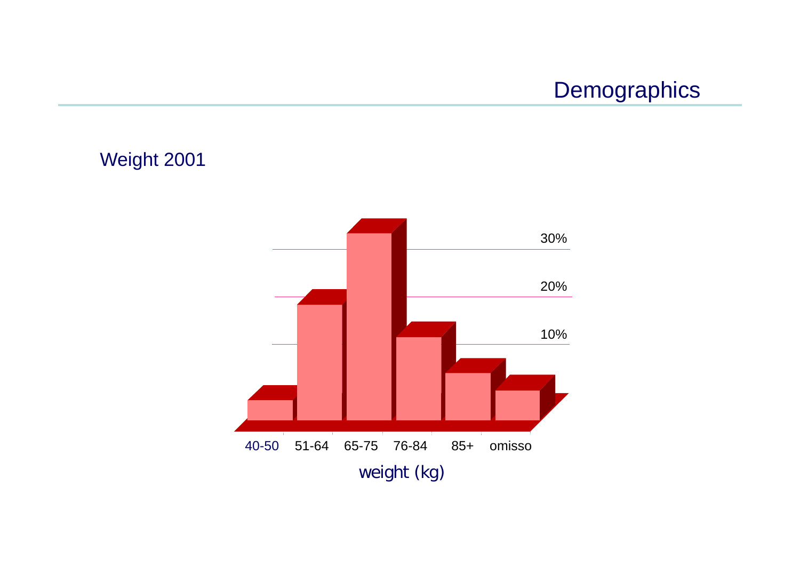# **Demographics**

Weight 2001

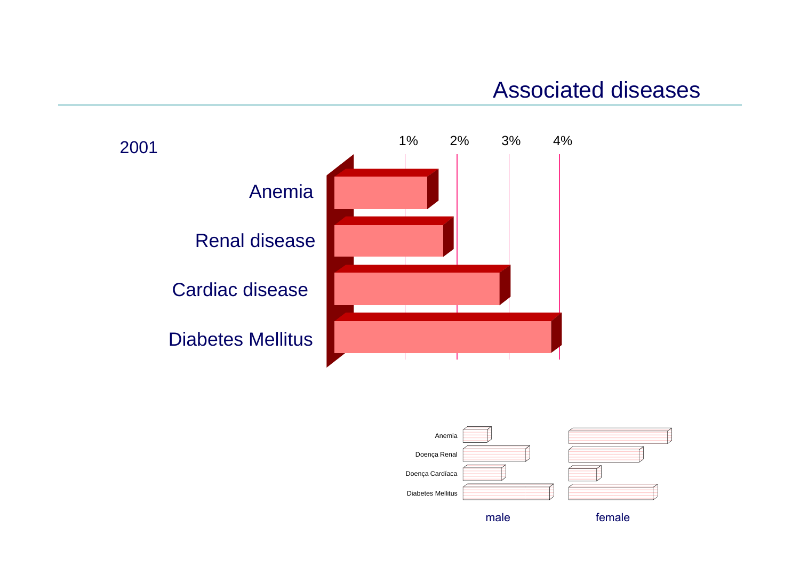# Associated diseases





male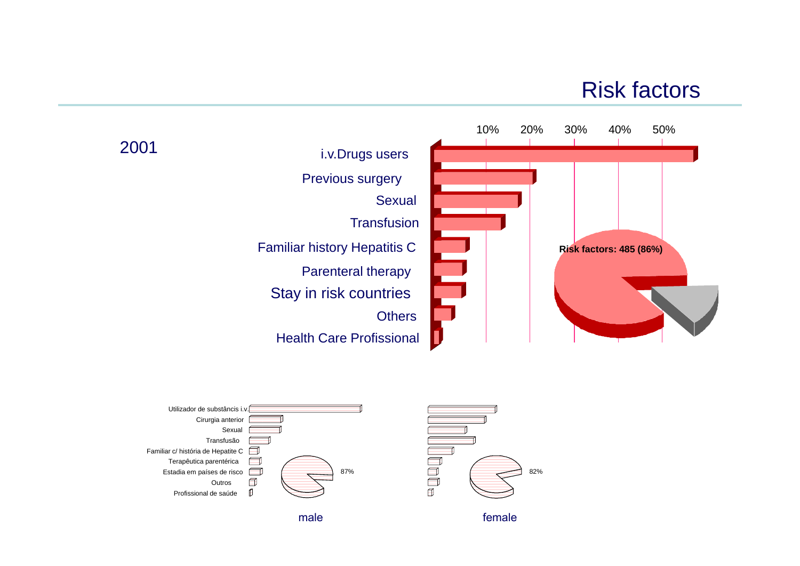# Risk factors



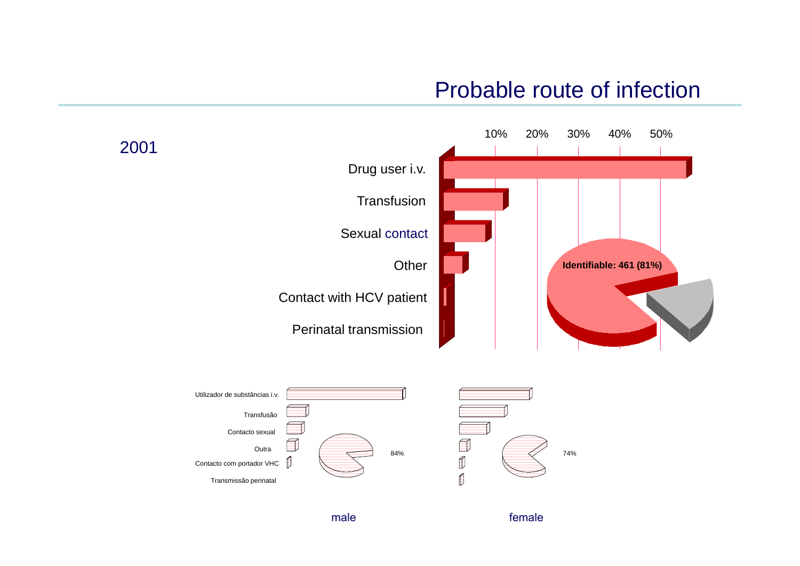### Probable route of infection



male

female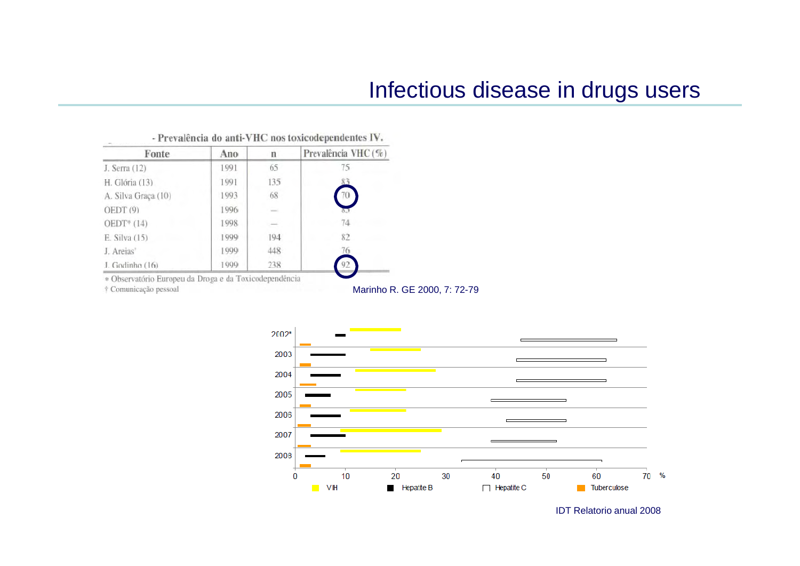## Infectious disease in drugs users

| Fonte               | Ano   | n   | Prevalência VHC (%) |
|---------------------|-------|-----|---------------------|
| J. Serra (12)       | 1991  | 65  | 75                  |
| H. Glória (13)      | 1991  | 135 |                     |
| A. Silva Graça (10) | 1993  | 68  |                     |
| OEDT <sup>(9)</sup> | 1996  |     |                     |
| $OEDT*(14)$         | 1998  |     | 74                  |
| E. Silva (15)       | 999   | 194 | 82                  |
| J. Areias'          | [999] | 448 | 76                  |
| J. Godinho (16)     | 1999  | 238 | 92                  |

#### - Prevalência do anti-VHC nos toxicodependentes IV.

\* Observatório Europeu da Droga e da Toxicodependência

† Comunicação pessoal

Marinho R. GE 2000, 7: 72-79



IDT Relatorio anual 2008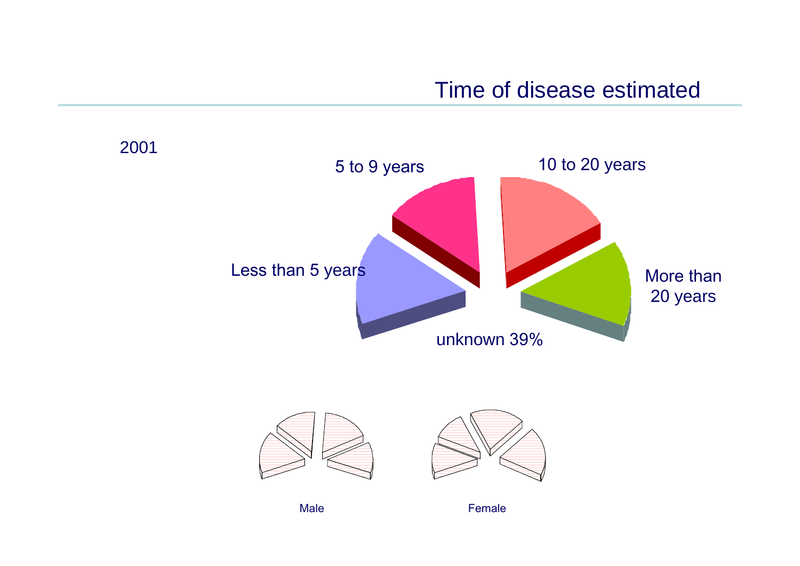Time of disease estimated



Male **Female**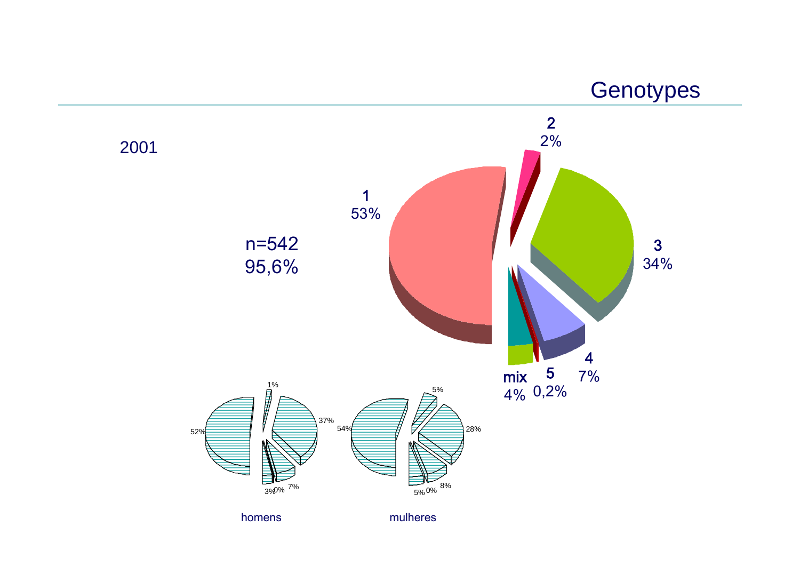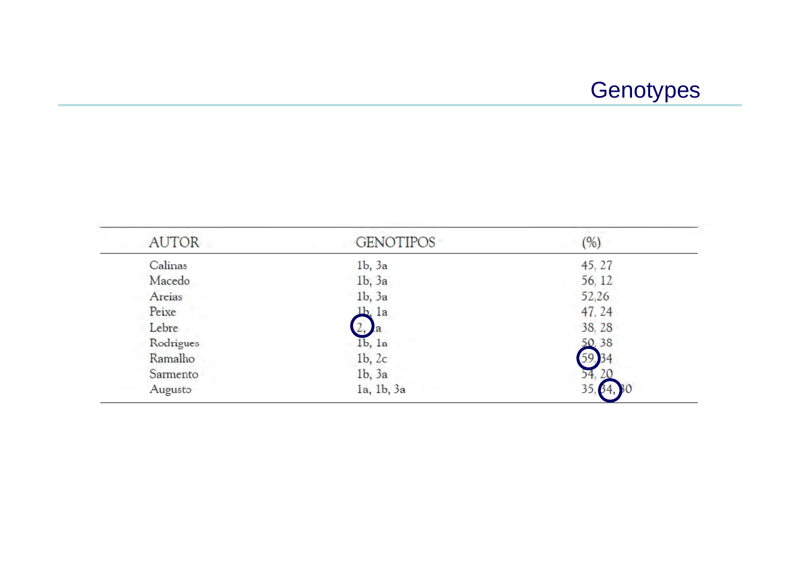# **Genotypes**

| <b>AUTOR</b> | <b>GENOTIPOS</b>                | (%)    |
|--------------|---------------------------------|--------|
| Calinas      | 1 <sub>b</sub> , 3 <sub>a</sub> | 45, 27 |
| Macedo       | 1 <sub>b</sub> , 3 <sub>a</sub> | 56, 12 |
| Areias       | $1b$ , $3a$                     | 52,26  |
| Peixe        | 1b, 1a                          | 47, 24 |
| Lebre        | Æ                               | 38, 28 |
| Rodrigues    | 1 <sub>b</sub> , 1 <sub>a</sub> | 50, 38 |
| Ramalho      | 1 <sub>b</sub> , 2 <sub>c</sub> | 59.34  |
| Sarmento     | 1 <sub>b</sub> , 3 <sub>a</sub> | 54     |
| Augusto      | la, 1b, 3a                      | 35     |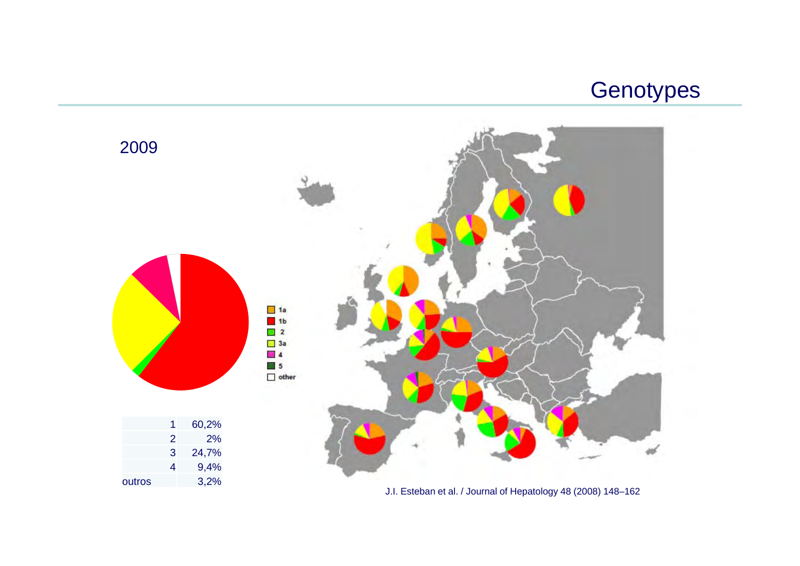



J.I. Esteban et al. / Journal of Hepatology 48 (2008) 148–162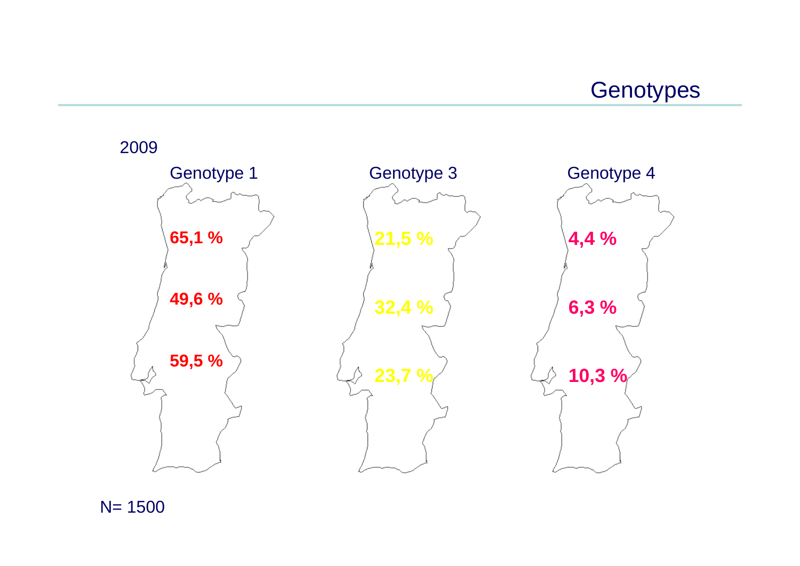**Genotypes** 



N= 1500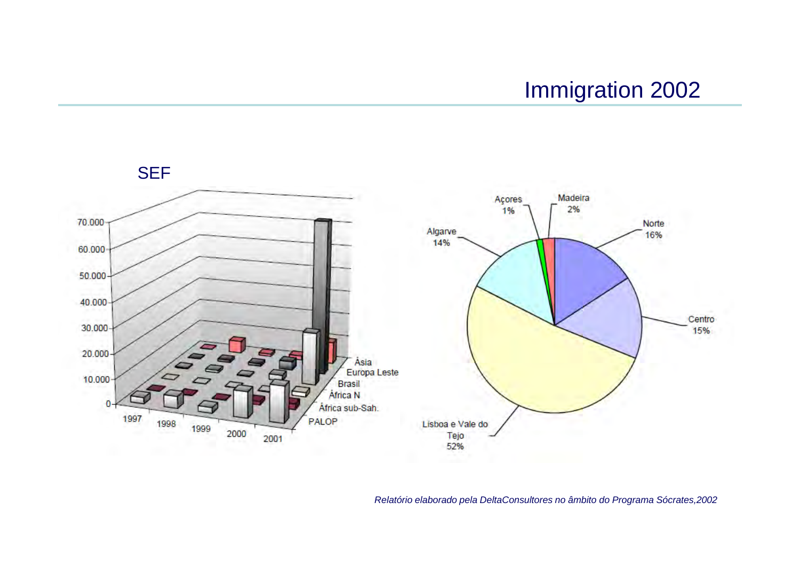# Immigration 2002

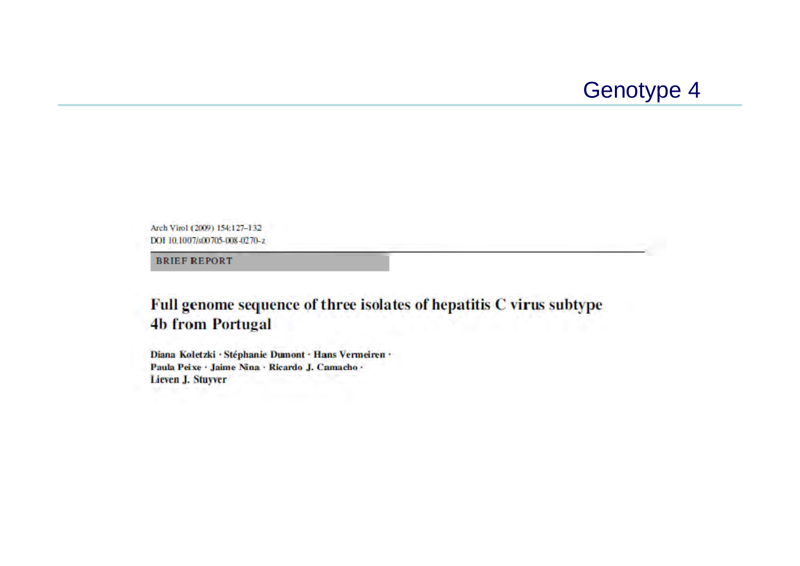

Arch Virol (2009) 154:127-132 DOI 10.1007/s00705-008-0270-z

**BRIEF REPORT** 

#### Full genome sequence of three isolates of hepatitis C virus subtype **4b from Portugal**

Diana Koletzki · Stéphanie Dumont · Hans Vermeiren · Paula Peixe · Jaime Nina · Ricardo J. Camacho · Lieven J. Stuyver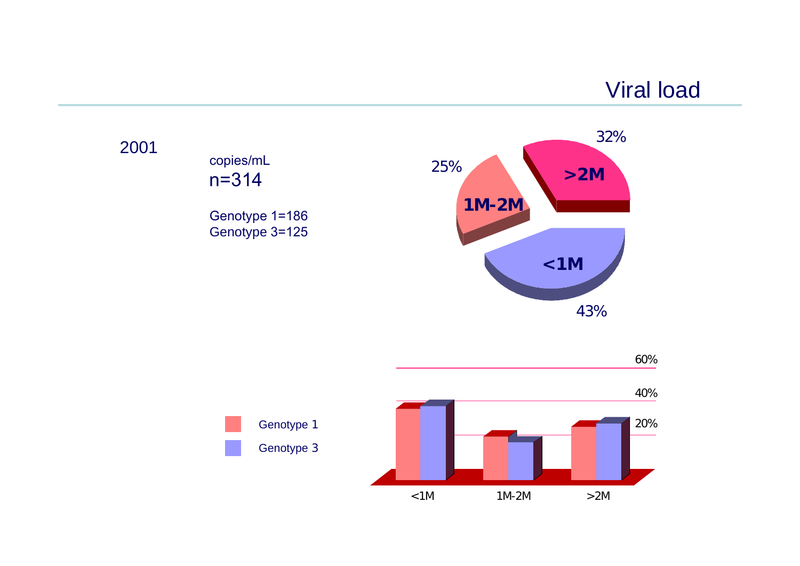# Viral load

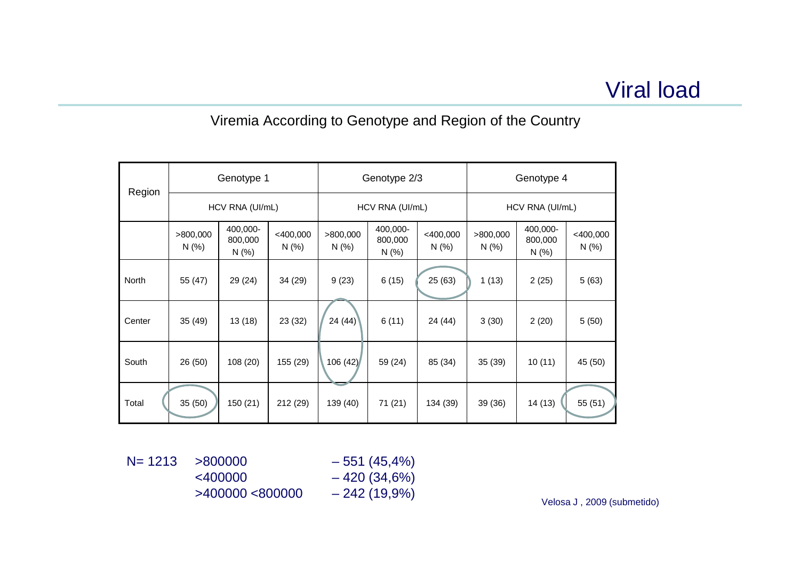#### Viremia According to Genotype and Region of the Country

| Region | Genotype 1                         |                            |                   | Genotype 2/3    |                              |                 | Genotype 4        |                              |                 |
|--------|------------------------------------|----------------------------|-------------------|-----------------|------------------------------|-----------------|-------------------|------------------------------|-----------------|
|        | HCV RNA (UI/mL)<br>HCV RNA (UI/mL) |                            | HCV RNA (UI/mL)   |                 |                              |                 |                   |                              |                 |
|        | >800,000<br>N(%                    | 400,000-<br>800,000<br>N(% | <400,000<br>N(% ) | >800,000<br>N(% | 400,000-<br>800,000<br>N(% ) | <400,000<br>N(% | >800,000<br>N(% ) | 400,000-<br>800,000<br>N(% ) | <400,000<br>N(% |
| North  | 55 (47)                            | 29 (24)                    | 34 (29)           | 9(23)           | 6(15)                        | 25 (63)         | 1(13)             | 2(25)                        | 5(63)           |
| Center | 35(49)                             | 13(18)                     | 23(32)            | 24(44)          | 6(11)                        | 24 (44)         | 3(30)             | 2(20)                        | 5(50)           |
| South  | 26 (50)                            | 108 (20)                   | 155 (29)          | 106(42)         | 59 (24)                      | 85 (34)         | 35 (39)           | 10(11)                       | 45 (50)         |
| Total  | 35 (50)                            | 150 (21)                   | 212 (29)          | 139 (40)        | 71(21)                       | 134 (39)        | 39 (36)           | 14(13)                       | 55 (51)         |

 $N= 1213$   $>800000$   $-551 (45,4%)$  $<$ 400000 – 420 (34,6%)  $>400000$  <800000  $-242(19,9%)$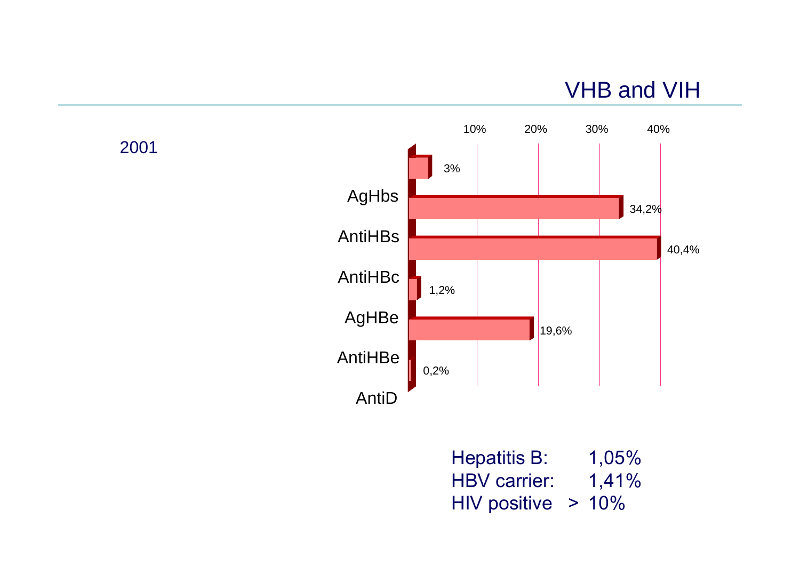# VHB and VIH



| <b>Hepatitis B:</b>   | 1,05% |
|-----------------------|-------|
| <b>HBV</b> carrier:   | 1,41% |
| HIV positive $> 10\%$ |       |

2001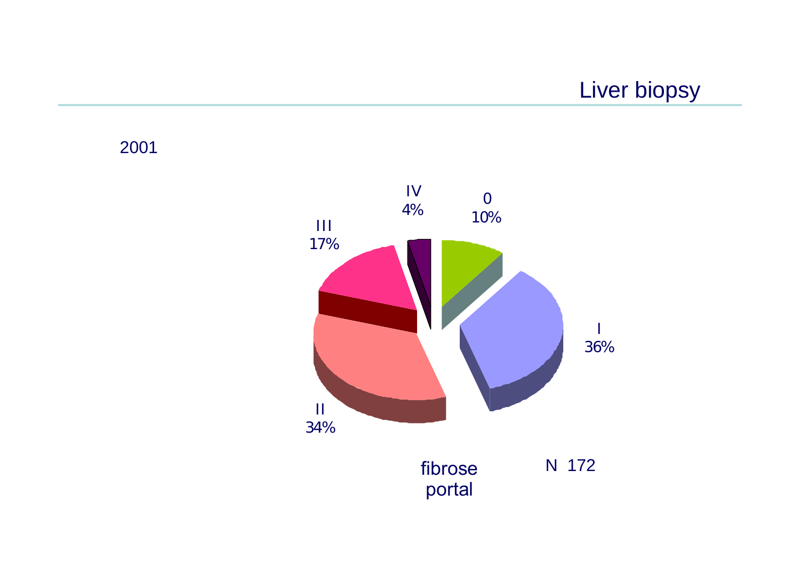Liver biopsy

2001

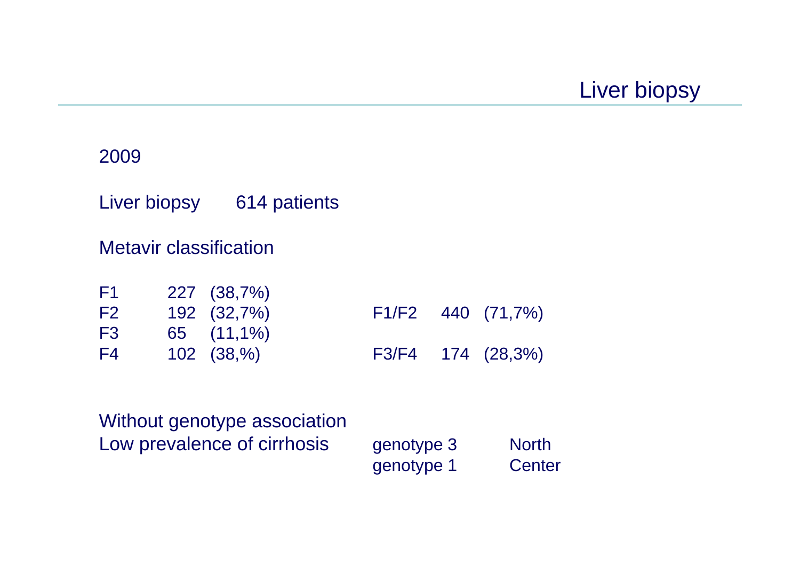Liver biopsy

#### 2009

Liver biopsy 614 patients

#### Metavir classification

| F1             | 227 (38,7%)     |  |                   |
|----------------|-----------------|--|-------------------|
| F <sub>2</sub> | 192 (32,7%)     |  | F1/F2 440 (71,7%) |
| F <sub>3</sub> | $65$ $(11,1\%)$ |  |                   |
| F4             | $102$ $(38,%)$  |  | F3/F4 174 (28,3%) |

Without genotype association Low prevalence of cirrhosis genotype 3 North

genotype 1 Center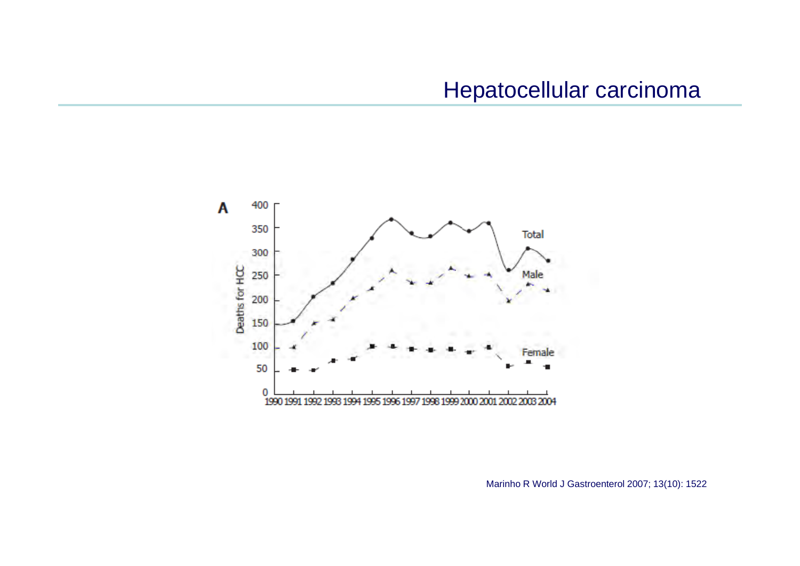

Marinho R World J Gastroenterol 2007; 13(10): 1522